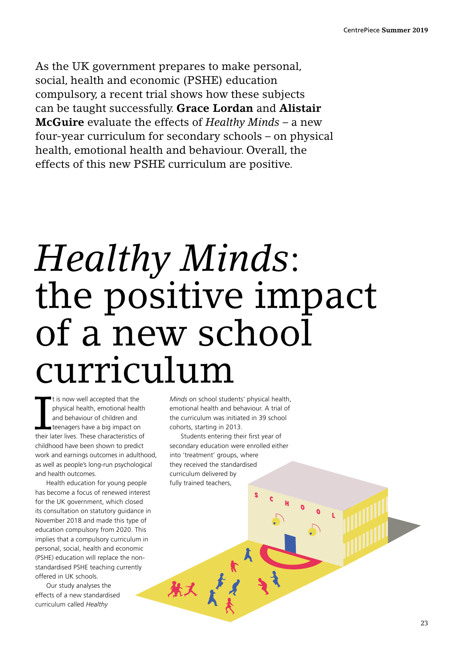As the UK government prepares to make personal, social, health and economic (PSHE) education compulsory, a recent trial shows how these subjects can be taught successfully. **Grace Lordan** and **Alistair McGuire** evaluate the effects of *Healthy Minds* – a new four-year curriculum for secondary schools – on physical health, emotional health and behaviour. Overall, the effects of this new PSHE curriculum are positive.

## *Healthy Minds*: the positive impact of a new school curriculum

It is now well accepted that the<br>physical health, emotional health<br>and behaviour of children and<br>teenagers have a big impact on<br>their later lives. These characteristics of It is now well accepted that the physical health, emotional health and behaviour of children and teenagers have a big impact on childhood have been shown to predict work and earnings outcomes in adulthood, as well as people's long-run psychological and health outcomes.

Health education for young people has become a focus of renewed interest for the UK government, which closed its consultation on statutory guidance in November 2018 and made this type of education compulsory from 2020. This implies that a compulsory curriculum in personal, social, health and economic (PSHE) education will replace the nonstandardised PSHE teaching currently offered in UK schools.

Our study analyses the effects of a new standardised curriculum called *Healthy* 

*Minds* on school students' physical health, emotional health and behaviour. A trial of the curriculum was initiated in 39 school cohorts, starting in 2013.

Students entering their first year of secondary education were enrolled either into 'treatment' groups, where they received the standardised curriculum delivered by fully trained teachers,

秋人

S

C

H

O

O

L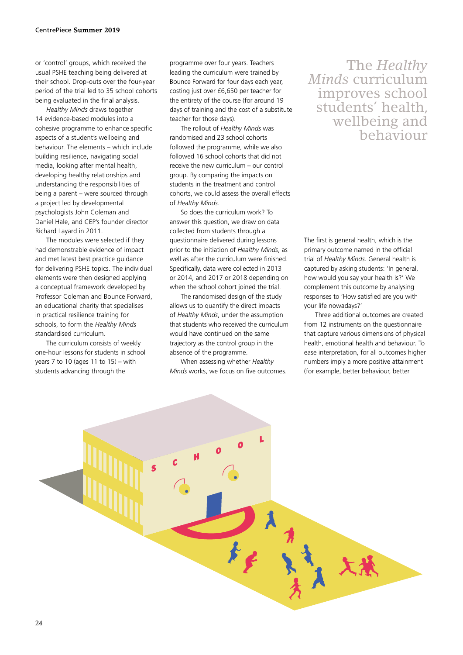or 'control' groups, which received the usual PSHE teaching being delivered at their school. Drop-outs over the four-year period of the trial led to 35 school cohorts being evaluated in the final analysis.

*Healthy Minds* draws together 14 evidence-based modules into a cohesive programme to enhance specific aspects of a student's wellbeing and behaviour. The elements – which include building resilience, navigating social media, looking after mental health, developing healthy relationships and understanding the responsibilities of being a parent – were sourced through a project led by developmental psychologists John Coleman and Daniel Hale, and CEP's founder director Richard Layard in 2011.

The modules were selected if they had demonstrable evidence of impact and met latest best practice guidance for delivering PSHE topics. The individual elements were then designed applying a conceptual framework developed by Professor Coleman and Bounce Forward, an educational charity that specialises in practical resilience training for schools, to form the *Healthy Minds* standardised curriculum.

The curriculum consists of weekly one-hour lessons for students in school years 7 to 10 (ages 11 to  $15$ ) – with students advancing through the

programme over four years. Teachers leading the curriculum were trained by Bounce Forward for four days each year, costing just over £6,650 per teacher for the entirety of the course (for around 19 days of training and the cost of a substitute teacher for those days).

The rollout of *Healthy Minds* was randomised and 23 school cohorts followed the programme, while we also followed 16 school cohorts that did not receive the new curriculum – our control group. By comparing the impacts on students in the treatment and control cohorts, we could assess the overall effects of *Healthy Minds*.

So does the curriculum work? To answer this question, we draw on data collected from students through a questionnaire delivered during lessons prior to the initiation of *Healthy Minds*, as well as after the curriculum were finished. Specifically, data were collected in 2013 or 2014, and 2017 or 2018 depending on when the school cohort joined the trial.

The randomised design of the study allows us to quantify the direct impacts of *Healthy Minds*, under the assumption that students who received the curriculum would have continued on the same trajectory as the control group in the absence of the programme.

When assessing whether *Healthy Minds* works, we focus on five outcomes.

The *Healthy Minds* curriculum improves school students' health, wellbeing and behaviour

The first is general health, which is the primary outcome named in the official trial of *Healthy Minds*. General health is captured by asking students: 'In general, how would you say your health is?' We complement this outcome by analysing responses to 'How satisfied are you with your life nowadays?'

Three additional outcomes are created from 12 instruments on the questionnaire that capture various dimensions of physical health, emotional health and behaviour. To ease interpretation, for all outcomes higher numbers imply a more positive attainment (for example, better behaviour, better